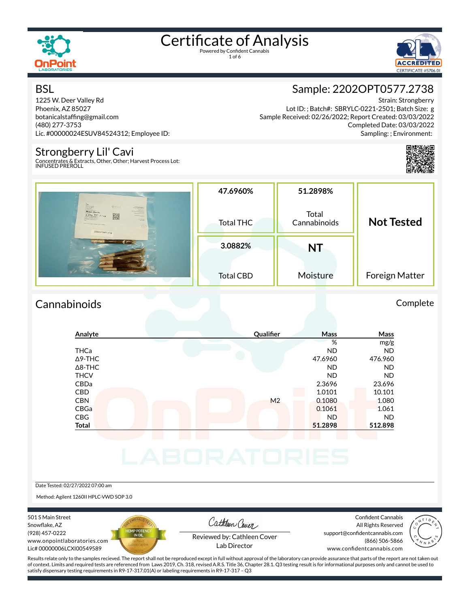

1 of 6



### **BSL**

1225 W. Deer Valley Rd Phoenix, AZ 85027 botanicalstaffing@gmail.com (480) 277-3753 Lic. #00000024ESUV84524312; Employee ID:

### Strongberry Lil' Cavi

Concentrates & Extracts, Other, Other; Harvest Process Lot: INFUSED PREROLL



Strain: Strongberry Lot ID: ; Batch#: SBRYLC-0221-2501; Batch Size: g Sample Received: 02/26/2022; Report Created: 03/03/2022 Completed Date: 03/03/2022 Sampling: ; Environment:



|                                                                                                     | 47.6960%         | 51.2898%              |                   |
|-----------------------------------------------------------------------------------------------------|------------------|-----------------------|-------------------|
| <b>MARINEZA</b><br>Amber Aloura<br>羅<br>$rac{1}{\sqrt{2}}$<br><b>Tallage by</b><br>22020PT0577.2738 | <b>Total THC</b> | Total<br>Cannabinoids | <b>Not Tested</b> |
|                                                                                                     | 3.0882%          | NT                    |                   |
|                                                                                                     | <b>Total CBD</b> | Moisture              | Foreign Matter    |

### Cannabinoids Complete

### **Analyte Quali×er Mass Mass** % mg/g THCa ND ND Δ9-THC 47.6960 476.960 Δ8-THC ND ND THCV ND ND CBDa 2.3696 23.696 CBD 10.101 10.101 10.101 10.101 10.101 10.101 10.101 10.101 10.101 10.101 10.101 CBN M2 0.1080 1.080 CBGa 0.1061 1.061 CBG ND ND **Total 51.2898 512.898**

Date Tested: 02/27/2022 07:00 am

Method: Agilent 1260II HPLC-VWD SOP 3.0

501 S Main Street Snowflake, AZ (928) 457-0222 www.onpointlaboratories.com Lic# 00000006LCXI00549589



Cathleen Cover

Confident Cannabis All Rights Reserved support@confidentcannabis.com (866) 506-5866



Reviewed by: Cathleen Cover Lab Director

www.confidentcannabis.com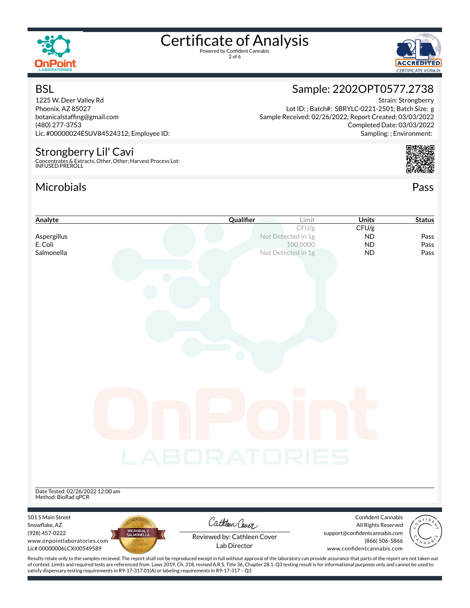

2 of 6



### **BSL**

1225 W. Deer Valley Rd Phoenix, AZ 85027 botanicalstaffing@gmail.com (480) 277-3753 Lic. #00000024ESUV84524312; Employee ID:

### Strongberry Lil' Cavi

Concentrates & Extracts, Other, Other; Harvest Process Lot: INFUSED PREROLL

### Microbials Pass



| Analyte                                                 | Qualifier                                                                                                                                                                                          | <b>Units</b><br>Limit         | <b>Status</b>                     |
|---------------------------------------------------------|----------------------------------------------------------------------------------------------------------------------------------------------------------------------------------------------------|-------------------------------|-----------------------------------|
|                                                         |                                                                                                                                                                                                    | CFU/g<br>CFU/g                |                                   |
| Aspergillus                                             | Not Detected in 1g                                                                                                                                                                                 | <b>ND</b>                     | Pass                              |
| E. Coli                                                 |                                                                                                                                                                                                    | 100.0000<br><b>ND</b>         | Pass                              |
| Salmonella                                              | Not Detected in 1g                                                                                                                                                                                 | <b>ND</b>                     | Pass                              |
|                                                         |                                                                                                                                                                                                    |                               |                                   |
|                                                         |                                                                                                                                                                                                    |                               |                                   |
|                                                         |                                                                                                                                                                                                    |                               |                                   |
|                                                         |                                                                                                                                                                                                    |                               |                                   |
|                                                         |                                                                                                                                                                                                    |                               |                                   |
|                                                         |                                                                                                                                                                                                    |                               |                                   |
|                                                         |                                                                                                                                                                                                    |                               |                                   |
|                                                         |                                                                                                                                                                                                    |                               |                                   |
|                                                         |                                                                                                                                                                                                    |                               |                                   |
|                                                         |                                                                                                                                                                                                    |                               |                                   |
|                                                         |                                                                                                                                                                                                    |                               |                                   |
|                                                         |                                                                                                                                                                                                    |                               |                                   |
|                                                         |                                                                                                                                                                                                    |                               |                                   |
|                                                         |                                                                                                                                                                                                    |                               |                                   |
|                                                         |                                                                                                                                                                                                    |                               |                                   |
|                                                         |                                                                                                                                                                                                    |                               |                                   |
|                                                         |                                                                                                                                                                                                    |                               |                                   |
|                                                         |                                                                                                                                                                                                    |                               |                                   |
|                                                         |                                                                                                                                                                                                    |                               |                                   |
|                                                         |                                                                                                                                                                                                    |                               |                                   |
|                                                         |                                                                                                                                                                                                    |                               |                                   |
|                                                         | LABORATORIES                                                                                                                                                                                       |                               |                                   |
|                                                         |                                                                                                                                                                                                    |                               |                                   |
|                                                         |                                                                                                                                                                                                    |                               |                                   |
|                                                         |                                                                                                                                                                                                    |                               |                                   |
| Date Tested: 02/26/2022 12:00 am<br>Method: BioRad qPCR |                                                                                                                                                                                                    |                               |                                   |
|                                                         |                                                                                                                                                                                                    |                               |                                   |
| 501 S Main Street                                       |                                                                                                                                                                                                    | Confident Cannabis            |                                   |
| Snowflake, AZ                                           | Cathleen Cover                                                                                                                                                                                     | All Rights Reserved           |                                   |
| MICROBIAL 2<br>SALMONELLA<br>(928) 457-0222             | Reviewed by: Cathleen Cover                                                                                                                                                                        | support@confidentcannabis.com |                                   |
| www.onpointlaboratories.com                             | Lab Director                                                                                                                                                                                       | (866) 506-5866                | $\mathcal{N} \times \mathbb{R}^8$ |
| Lic# 00000006LCXI00549589                               |                                                                                                                                                                                                    | www.confidentcannabis.com     |                                   |
|                                                         | Results relate only to the samples recieved. The report shall not be reproduced except in full without approval of the laboratory can provide assurance that parts of the report are not taken out |                               |                                   |

Completed Date: 03/03/2022 Sampling: ; Environment:

Strain: Strongberry

Sample: 2202OPT0577.2738

Lot ID: ; Batch#: SBRYLC-0221-2501; Batch Size: g

Sample Received: 02/26/2022; Report Created: 03/03/2022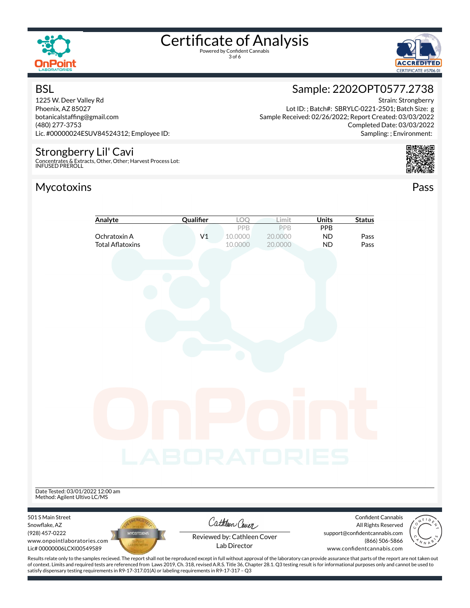

3 of 6



### **BSL**

1225 W. Deer Valley Rd Phoenix, AZ 85027 botanicalstaffing@gmail.com (480) 277-3753 Lic. #00000024ESUV84524312; Employee ID:

### Strongberry Lil' Cavi

Concentrates & Extracts, Other, Other; Harvest Process Lot: INFUSED PREROLL

### Mycotoxins Pass

### Sample: 2202OPT0577.2738

Strain: Strongberry Lot ID: ; Batch#: SBRYLC-0221-2501; Batch Size: g Sample Received: 02/26/2022; Report Created: 03/03/2022 Completed Date: 03/03/2022 Sampling: ; Environment:



|                                                                  | Analyte                                 | Qualifier           | LOQ                                            | Limit                      | <b>Units</b>                  | <b>Status</b>                                        |  |
|------------------------------------------------------------------|-----------------------------------------|---------------------|------------------------------------------------|----------------------------|-------------------------------|------------------------------------------------------|--|
|                                                                  | Ochratoxin A<br><b>Total Aflatoxins</b> | V <sub>1</sub>      | PPB<br>10.0000<br>10.0000                      | PPB<br>20.0000<br>20.0000  | PPB<br><b>ND</b><br><b>ND</b> | Pass<br>Pass                                         |  |
|                                                                  |                                         |                     |                                                |                            |                               |                                                      |  |
|                                                                  |                                         |                     |                                                |                            |                               |                                                      |  |
|                                                                  |                                         |                     |                                                |                            |                               |                                                      |  |
|                                                                  |                                         |                     |                                                |                            |                               |                                                      |  |
|                                                                  |                                         |                     |                                                |                            |                               |                                                      |  |
|                                                                  |                                         |                     |                                                |                            |                               |                                                      |  |
|                                                                  |                                         |                     |                                                |                            |                               |                                                      |  |
|                                                                  |                                         |                     |                                                |                            |                               |                                                      |  |
|                                                                  |                                         |                     |                                                | $\mathcal{O}(\mathcal{O})$ |                               |                                                      |  |
|                                                                  |                                         |                     |                                                |                            |                               |                                                      |  |
|                                                                  |                                         |                     |                                                |                            |                               |                                                      |  |
|                                                                  |                                         |                     |                                                |                            |                               |                                                      |  |
|                                                                  |                                         | <b>_ABORATORIES</b> |                                                |                            |                               |                                                      |  |
|                                                                  |                                         |                     |                                                |                            |                               |                                                      |  |
| Date Tested: 03/01/2022 12:00 am<br>Method: Agilent Ultivo LC/MS |                                         |                     |                                                |                            |                               |                                                      |  |
| 501 S Main Street                                                |                                         |                     |                                                |                            |                               | Confident Cannabis                                   |  |
| Snowflake, AZ<br>(928) 457-0222                                  | <b>MYCOTOXINS</b>                       |                     | Cathleen Cover                                 |                            |                               | All Rights Reserved<br>support@confidentcannabis.com |  |
| www.onpointlaboratories.com<br>Lic# 00000006LCXI00549589         |                                         |                     | Reviewed by: Cathleen Cover<br>Lab Director    |                            |                               | (866) 506-5866<br>www.confidentcannabis.com          |  |
| Desulta valata ankuta tha samplas v                              |                                         |                     | ومقووما والمطفئون امرزموه معروفان وطشير الربئة |                            |                               | العمومع مطفكم ماعمعا فمطفوه معوور بممم ماءا          |  |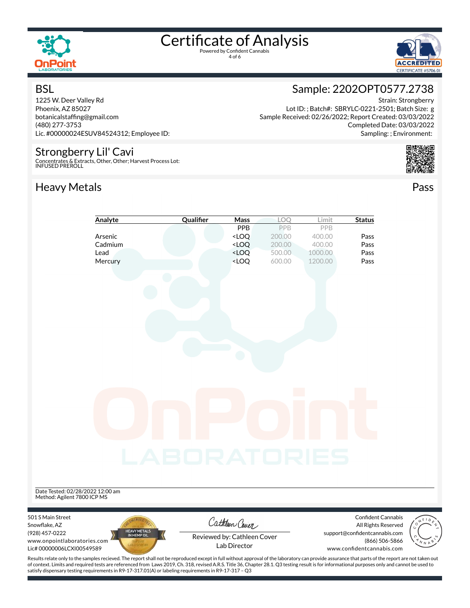

**BSL** 

## Certificate of Analysis

4 of 6



Strain: Strongberry

Completed Date: 03/03/2022 Sampling: ; Environment:

### Sample: 2202OPT0577.2738

Lot ID: ; Batch#: SBRYLC-0221-2501; Batch Size: g

Sample Received: 02/26/2022; Report Created: 03/03/2022

1225 W. Deer Valley Rd Phoenix, AZ 85027 botanicalstaffing@gmail.com (480) 277-3753 Lic. #00000024ESUV84524312; Employee ID:

### Strongberry Lil' Cavi

Concentrates & Extracts, Other, Other; Harvest Process Lot: INFUSED PREROLL

### Heavy Metals **Pass**



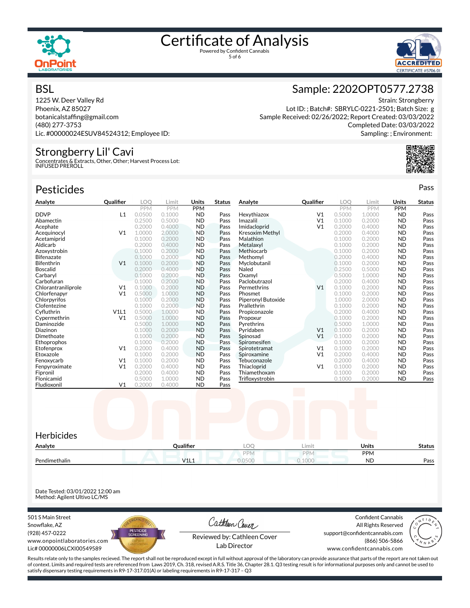



### **BSL**

1225 W. Deer Valley Rd Phoenix, AZ 85027 botanicalstaffing@gmail.com (480) 277-3753 Lic. #00000024ESUV84524312; Employee ID:

### Strongberry Lil' Cavi

Concentrates & Extracts, Other, Other; Harvest Process Lot: INFUSED PREROLL

### Pesticides **Passage Contract Contract Contract Contract Contract Contract Contract Contract Contract Contract Contract Contract Contract Contract Contract Contract Contract Contract Contract Contract Contract Contract Cont**



Sample Received: 02/26/2022; Report Created: 03/03/2022 Completed Date: 03/03/2022 Sampling: ; Environment:



| Analyte             | <b>Qualifier</b> | <b>LOO</b> | Limit      | Units      | <b>Status</b> | Analyte            | Qualifier      | LOO        | Limit      | Units      | <b>Status</b> |
|---------------------|------------------|------------|------------|------------|---------------|--------------------|----------------|------------|------------|------------|---------------|
|                     |                  | <b>PPM</b> | <b>PPM</b> | <b>PPM</b> |               |                    |                | <b>PPM</b> | <b>PPM</b> | <b>PPM</b> |               |
| <b>DDVP</b>         | L1               | 0.0500     | 0.1000     | <b>ND</b>  | Pass          | Hexythiazox        | V <sub>1</sub> | 0.5000     | 1.0000     | <b>ND</b>  | Pass          |
| Abamectin           |                  | 0.2500     | 0.5000     | <b>ND</b>  | Pass          | Imazalil           | V <sub>1</sub> | 0.1000     | 0.2000     | <b>ND</b>  | Pass          |
| Acephate            |                  | 0.2000     | 0.4000     | <b>ND</b>  | Pass          | Imidacloprid       | V <sub>1</sub> | 0.2000     | 0.4000     | <b>ND</b>  | Pass          |
| Acequinocyl         | V <sub>1</sub>   | 1.0000     | 2,0000     | <b>ND</b>  | Pass          | Kresoxim Methyl    |                | 0.2000     | 0.4000     | <b>ND</b>  | Pass          |
| Acetamiprid         |                  | 0.1000     | 0.2000     | <b>ND</b>  | Pass          | Malathion          |                | 0.1000     | 0.2000     | <b>ND</b>  | Pass          |
| Aldicarb            |                  | 0.2000     | 0.4000     | <b>ND</b>  | Pass          | Metalaxyl          |                | 0.1000     | 0.2000     | <b>ND</b>  | Pass          |
| Azoxystrobin        |                  | 0.1000     | 0.2000     | <b>ND</b>  | Pass          | Methiocarb         |                | 0.1000     | 0.2000     | <b>ND</b>  | Pass          |
| <b>Bifenazate</b>   |                  | 0.1000     | 0.2000     | <b>ND</b>  | Pass          | Methomyl           |                | 0.2000     | 0.4000     | <b>ND</b>  | Pass          |
| Bifenthrin          | V <sub>1</sub>   | 0.1000     | 0.2000     | <b>ND</b>  | Pass          | Myclobutanil       |                | 0.1000     | 0.2000     | <b>ND</b>  | Pass          |
| <b>Boscalid</b>     |                  | 0.2000     | 0.4000     | <b>ND</b>  | Pass          | Naled              |                | 0.2500     | 0.5000     | <b>ND</b>  | Pass          |
| Carbarvl            |                  | 0.1000     | 0.2000     | <b>ND</b>  | Pass          | Oxamvl             |                | 0.5000     | 1.0000     | <b>ND</b>  | Pass          |
| Carbofuran          |                  | 0.1000     | 0.2000     | <b>ND</b>  | Pass          | Paclobutrazol      |                | 0.2000     | 0.4000     | <b>ND</b>  | Pass          |
| Chlorantraniliprole | V <sub>1</sub>   | 0.1000     | 0.2000     | <b>ND</b>  | Pass          | Permethrins        | V <sub>1</sub> | 0.1000     | 0.2000     | <b>ND</b>  | Pass          |
| Chlorfenapyr        | V <sub>1</sub>   | 0.5000     | 1.0000     | <b>ND</b>  | Pass          | Phosmet            |                | 0.1000     | 0.2000     | <b>ND</b>  | Pass          |
| Chlorpyrifos        |                  | 0.1000     | 0.2000     | <b>ND</b>  | Pass          | Piperonyl Butoxide |                | 1.0000     | 2.0000     | <b>ND</b>  | Pass          |
| Clofentezine        |                  | 0.1000     | 0.2000     | <b>ND</b>  | Pass          | Prallethrin        |                | 0.1000     | 0.2000     | <b>ND</b>  | Pass          |
| Cyfluthrin          | V1L1             | 0.5000     | 1.0000     | <b>ND</b>  | Pass          | Propiconazole      |                | 0.2000     | 0.4000     | <b>ND</b>  | Pass          |
| Cypermethrin        | V <sub>1</sub>   | 0.5000     | 1.0000     | <b>ND</b>  | Pass          | Propoxur           |                | 0.1000     | 0.2000     | <b>ND</b>  | Pass          |
| Daminozide          |                  | 0.5000     | 1.0000     | <b>ND</b>  | Pass          | Pyrethrins         |                | 0.5000     | 1.0000     | <b>ND</b>  | Pass          |
| Diazinon            |                  | 0.1000     | 0.2000     | <b>ND</b>  | Pass          | Pyridaben          | V <sub>1</sub> | 0.1000     | 0.2000     | <b>ND</b>  | Pass          |
| Dimethoate          |                  | 0.1000     | 0.2000     | <b>ND</b>  | Pass          | Spinosad           | V <sub>1</sub> | 0.1000     | 0.2000     | <b>ND</b>  | Pass          |
| Ethoprophos         |                  | 0.1000     | 0.2000     | <b>ND</b>  | Pass          | Spiromesifen       |                | 0.1000     | 0.2000     | <b>ND</b>  | Pass          |
| Etofenprox          | V <sub>1</sub>   | 0.2000     | 0.4000     | <b>ND</b>  | Pass          | Spirotetramat      | V <sub>1</sub> | 0.1000     | 0.2000     | <b>ND</b>  | Pass          |
| Etoxazole           |                  | 0.1000     | 0.2000     | <b>ND</b>  | Pass          | Spiroxamine        | V <sub>1</sub> | 0.2000     | 0.4000     | <b>ND</b>  | Pass          |
| Fenoxycarb          | V <sub>1</sub>   | 0.1000     | 0.2000     | <b>ND</b>  | Pass          | Tebuconazole       |                | 0.2000     | 0.4000     | <b>ND</b>  | Pass          |
| Fenpyroximate       | V <sub>1</sub>   | 0.2000     | 0.4000     | <b>ND</b>  | Pass          | Thiacloprid        | V <sub>1</sub> | 0.1000     | 0.2000     | <b>ND</b>  | Pass          |
| Fipronil            |                  | 0.2000     | 0.4000     | <b>ND</b>  | Pass          | Thiamethoxam       |                | 0.1000     | 0.2000     | <b>ND</b>  | Pass          |
| Flonicamid          |                  | 0.5000     | 1.0000     | <b>ND</b>  | Pass          | Trifloxystrobin    |                | 0.1000     | 0.2000     | <b>ND</b>  | Pass          |
| Fludioxonil         | V <sub>1</sub>   | 0.2000     | 0.4000     | <b>ND</b>  | Pass          |                    |                |            |            |            |               |

| Herbicides    |           |            |        |              |               |
|---------------|-----------|------------|--------|--------------|---------------|
| Analyte       | Qualifier | <b>LOO</b> | Limit  | <b>Units</b> | <b>Status</b> |
|               |           | <b>PPM</b> | PPN    | PPM          |               |
| Pendimethalin | V1L1      | 0.0500     | 0.1000 | <b>ND</b>    | Pass          |

Date Tested: 03/01/2022 12:00 am Method: Agilent Ultivo LC/MS

501 S Main Street Snowflake, AZ (928) 457-0222 www.onpointlaboratories.com Lic# 00000006LCXI00549589



Cathleen Cover

Confident Cannabis All Rights Reserved support@confidentcannabis.com (866) 506-5866



Reviewed by: Cathleen Cover Lab Director

www.confidentcannabis.com